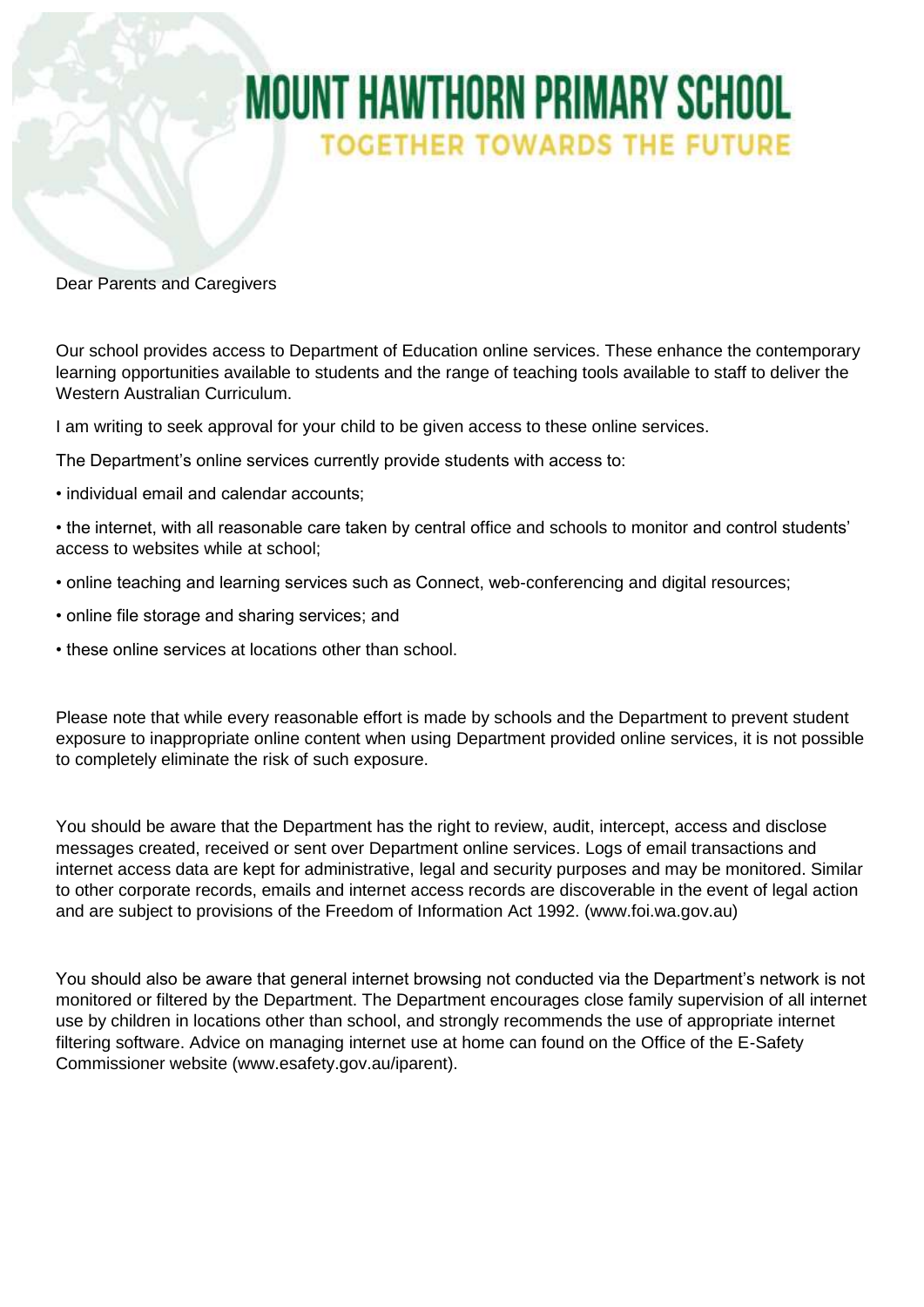## **MOUNT HAWTHORN PRIMARY SCHOOL TOGETHER TOWARDS THE FUTURE**

Dear Parents and Caregivers

Our school provides access to Department of Education online services. These enhance the contemporary learning opportunities available to students and the range of teaching tools available to staff to deliver the Western Australian Curriculum.

I am writing to seek approval for your child to be given access to these online services.

The Department's online services currently provide students with access to:

• individual email and calendar accounts;

• the internet, with all reasonable care taken by central office and schools to monitor and control students' access to websites while at school;

- online teaching and learning services such as Connect, web-conferencing and digital resources;
- online file storage and sharing services; and
- these online services at locations other than school.

Please note that while every reasonable effort is made by schools and the Department to prevent student exposure to inappropriate online content when using Department provided online services, it is not possible to completely eliminate the risk of such exposure.

You should be aware that the Department has the right to review, audit, intercept, access and disclose messages created, received or sent over Department online services. Logs of email transactions and internet access data are kept for administrative, legal and security purposes and may be monitored. Similar to other corporate records, emails and internet access records are discoverable in the event of legal action and are subject to provisions of the Freedom of Information Act 1992. (www.foi.wa.gov.au)

You should also be aware that general internet browsing not conducted via the Department's network is not monitored or filtered by the Department. The Department encourages close family supervision of all internet use by children in locations other than school, and strongly recommends the use of appropriate internet filtering software. Advice on managing internet use at home can found on the Office of the E-Safety Commissioner website (www.esafety.gov.au/iparent).